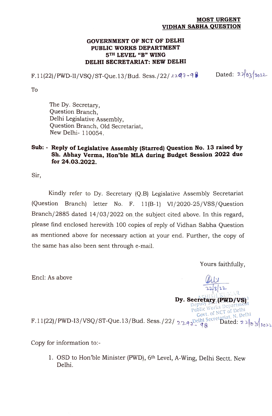#### MOST URGENT VIDHAN SABHA QUESTION

#### GOVERNMENT OF NCT OF DELHI PUBLIC WORKS DEPARTMENT 5TH LEVEL "B" WING DELHI SECRETARIAT: NEW DELHI

 $F.11(22)/PWD-II/VSQ/ST-Que.13/Bud. Sess./22/22q7-98$  Dated:  $2\sqrt{63}/1022$ 

To

The Dy. Secretary, Question Branch, Delhi Legislative Assembly, Question Branch, Old Secretariat, New Delhi- 110054.

### Sub: - Reply of Legislative Assembly (Starred) Question No. 13 raised by Sh. Abhay Verma, Hon'ble MLA during Budget Session 2022 due for 24.03.2022.

Sir,

Kindly refer to Dy. Secretary (Q.B) Legislative Assembly Secretariat (Question Branch) letter No. F. 11(B-1) VI/2020-25/VSS/Question Branch/2885 dated 14/03/2022 on the subject cited above. In this regard, please find enclosed herewith 100 copies of reply of Vidhan Sabha Question as mentioned above for necessary action at your end. Further, the copy of the same has also been sent through e-mail.

Yours faithfully,

Encl: As above

Dy. Secretary (PWD/VS). Govt. of NCT of Delhi<br>elhi Secretariat, N. Delhi<br>an **Dated: 2 2 3 10 3 10 2**2 elhi Public Works Depart F.11(22)/PWD-I3/VSQ/ST-Que. 13/Bud. Sess./22/2292 Pelhi Secretarial, R. 228  $\frac{1}{8}$  228

Copy for information to:-

1. OSD to Hon 'ble Minister (PWD), 6th Level, A-Wing, Delhi Sectt. New Delhi.